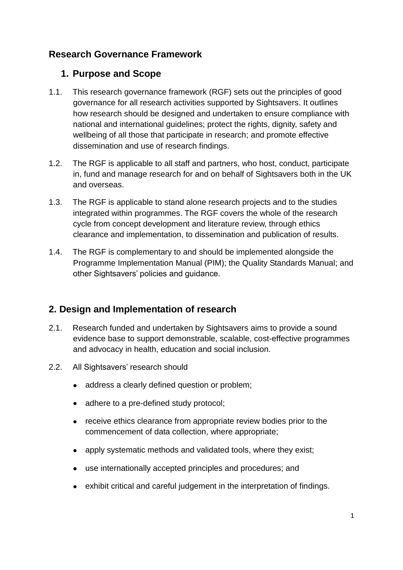### **Research Governance Framework**

#### **1. Purpose and Scope**

- 1.1. This research governance framework (RGF) sets out the principles of good governance for all research activities supported by Sightsavers. It outlines how research should be designed and undertaken to ensure compliance with national and international guidelines; protect the rights, dignity, safety and wellbeing of all those that participate in research; and promote effective dissemination and use of research findings.
- 1.2. The RGF is applicable to all staff and partners, who host, conduct, participate in, fund and manage research for and on behalf of Sightsavers both in the UK and overseas.
- 1.3. The RGF is applicable to stand alone research projects and to the studies integrated within programmes. The RGF covers the whole of the research cycle from concept development and literature review, through ethics clearance and implementation, to dissemination and publication of results.
- 1.4. The RGF is complementary to and should be implemented alongside the Programme Implementation Manual (PIM); the Quality Standards Manual; and other Sightsavers' policies and guidance.

# **2. Design and Implementation of research**

- 2.1. Research funded and undertaken by Sightsavers aims to provide a sound evidence base to support demonstrable, scalable, cost-effective programmes and advocacy in health, education and social inclusion.
- 2.2. All Sightsavers' research should
	- address a clearly defined question or problem;
	- adhere to a pre-defined study protocol;
	- receive ethics clearance from appropriate review bodies prior to the  $\bullet$ commencement of data collection, where appropriate;
	- apply systematic methods and validated tools, where they exist;
	- $\bullet$ use internationally accepted principles and procedures; and
	- exhibit critical and careful judgement in the interpretation of findings.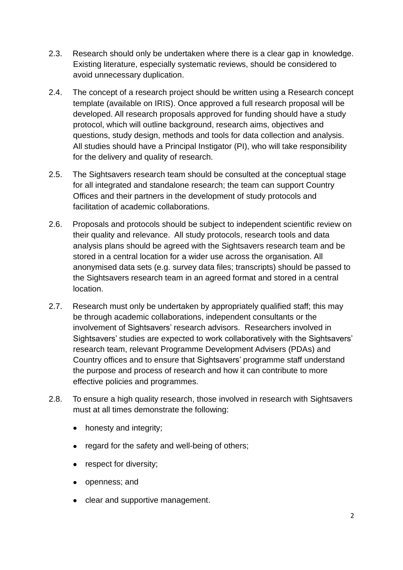- 2.3. Research should only be undertaken where there is a clear gap in knowledge. Existing literature, especially systematic reviews, should be considered to avoid unnecessary duplication.
- 2.4. The concept of a research project should be written using a Research concept template (available on IRIS). Once approved a full research proposal will be developed. All research proposals approved for funding should have a study protocol, which will outline background, research aims, objectives and questions, study design, methods and tools for data collection and analysis. All studies should have a Principal Instigator (PI), who will take responsibility for the delivery and quality of research.
- 2.5. The Sightsavers research team should be consulted at the conceptual stage for all integrated and standalone research; the team can support Country Offices and their partners in the development of study protocols and facilitation of academic collaborations.
- 2.6. Proposals and protocols should be subject to independent scientific review on their quality and relevance. All study protocols, research tools and data analysis plans should be agreed with the Sightsavers research team and be stored in a central location for a wider use across the organisation. All anonymised data sets (e.g. survey data files; transcripts) should be passed to the Sightsavers research team in an agreed format and stored in a central location.
- 2.7. Research must only be undertaken by appropriately qualified staff; this may be through academic collaborations, independent consultants or the involvement of Sightsavers' research advisors. Researchers involved in Sightsavers' studies are expected to work collaboratively with the Sightsavers' research team, relevant Programme Development Advisers (PDAs) and Country offices and to ensure that Sightsavers' programme staff understand the purpose and process of research and how it can contribute to more effective policies and programmes.
- 2.8. To ensure a high quality research, those involved in research with Sightsavers must at all times demonstrate the following:
	- honesty and integrity:
	- regard for the safety and well-being of others;
	- respect for diversity;
	- openness; and
	- clear and supportive management.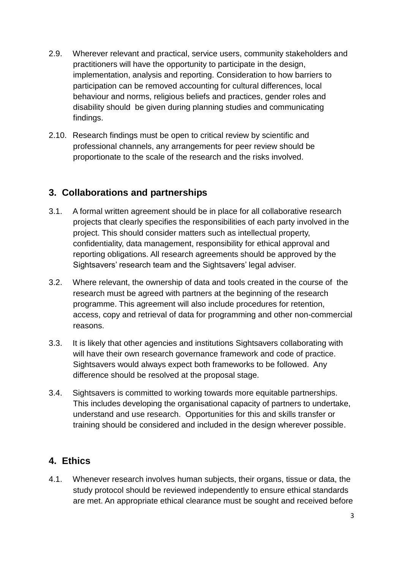- 2.9. Wherever relevant and practical, service users, community stakeholders and practitioners will have the opportunity to participate in the design, implementation, analysis and reporting. Consideration to how barriers to participation can be removed accounting for cultural differences, local behaviour and norms, religious beliefs and practices, gender roles and disability should be given during planning studies and communicating findings.
- 2.10. Research findings must be open to critical review by scientific and professional channels, any arrangements for peer review should be proportionate to the scale of the research and the risks involved.

# **3. Collaborations and partnerships**

- 3.1. A formal written agreement should be in place for all collaborative research projects that clearly specifies the responsibilities of each party involved in the project. This should consider matters such as intellectual property, confidentiality, data management, responsibility for ethical approval and reporting obligations. All research agreements should be approved by the Sightsavers' research team and the Sightsavers' legal adviser.
- 3.2. Where relevant, the ownership of data and tools created in the course of the research must be agreed with partners at the beginning of the research programme. This agreement will also include procedures for retention, access, copy and retrieval of data for programming and other non-commercial reasons.
- 3.3. It is likely that other agencies and institutions Sightsavers collaborating with will have their own research governance framework and code of practice. Sightsavers would always expect both frameworks to be followed. Any difference should be resolved at the proposal stage.
- 3.4. Sightsavers is committed to working towards more equitable partnerships. This includes developing the organisational capacity of partners to undertake, understand and use research. Opportunities for this and skills transfer or training should be considered and included in the design wherever possible.

#### **4. Ethics**

4.1. Whenever research involves human subjects, their organs, tissue or data, the study protocol should be reviewed independently to ensure ethical standards are met. An appropriate ethical clearance must be sought and received before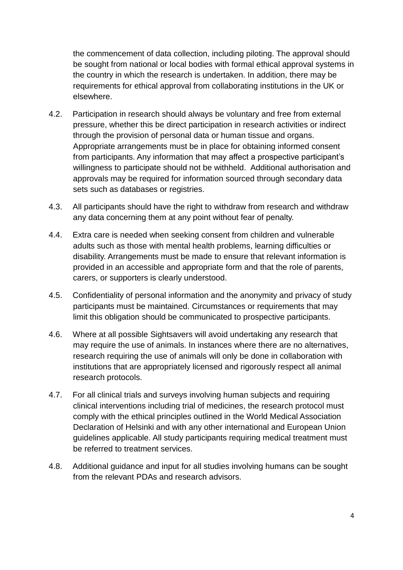the commencement of data collection, including piloting. The approval should be sought from national or local bodies with formal ethical approval systems in the country in which the research is undertaken. In addition, there may be requirements for ethical approval from collaborating institutions in the UK or elsewhere.

- 4.2. Participation in research should always be voluntary and free from external pressure, whether this be direct participation in research activities or indirect through the provision of personal data or human tissue and organs. Appropriate arrangements must be in place for obtaining informed consent from participants. Any information that may affect a prospective participant's willingness to participate should not be withheld. Additional authorisation and approvals may be required for information sourced through secondary data sets such as databases or registries.
- 4.3. All participants should have the right to withdraw from research and withdraw any data concerning them at any point without fear of penalty.
- 4.4. Extra care is needed when seeking consent from children and vulnerable adults such as those with mental health problems, learning difficulties or disability. Arrangements must be made to ensure that relevant information is provided in an accessible and appropriate form and that the role of parents, carers, or supporters is clearly understood.
- 4.5. Confidentiality of personal information and the anonymity and privacy of study participants must be maintained. Circumstances or requirements that may limit this obligation should be communicated to prospective participants.
- 4.6. Where at all possible Sightsavers will avoid undertaking any research that may require the use of animals. In instances where there are no alternatives, research requiring the use of animals will only be done in collaboration with institutions that are appropriately licensed and rigorously respect all animal research protocols.
- 4.7. For all clinical trials and surveys involving human subjects and requiring clinical interventions including trial of medicines, the research protocol must comply with the ethical principles outlined in the World Medical Association Declaration of Helsinki and with any other international and European Union guidelines applicable. All study participants requiring medical treatment must be referred to treatment services.
- 4.8. Additional guidance and input for all studies involving humans can be sought from the relevant PDAs and research advisors.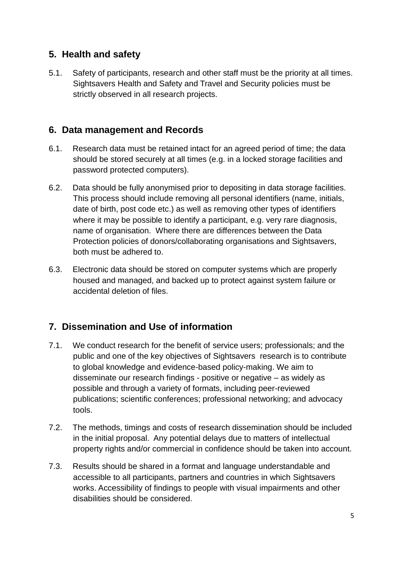### **5. Health and safety**

5.1. Safety of participants, research and other staff must be the priority at all times. Sightsavers Health and Safety and Travel and Security policies must be strictly observed in all research projects.

### **6. Data management and Records**

- 6.1. Research data must be retained intact for an agreed period of time; the data should be stored securely at all times (e.g. in a locked storage facilities and password protected computers).
- 6.2. Data should be fully anonymised prior to depositing in data storage facilities. This process should include removing all personal identifiers (name, initials, date of birth, post code etc.) as well as removing other types of identifiers where it may be possible to identify a participant, e.g. very rare diagnosis, name of organisation. Where there are differences between the Data Protection policies of donors/collaborating organisations and Sightsavers, both must be adhered to.
- 6.3. Electronic data should be stored on computer systems which are properly housed and managed, and backed up to protect against system failure or accidental deletion of files.

# **7. Dissemination and Use of information**

- 7.1. We conduct research for the benefit of service users; professionals; and the public and one of the key objectives of Sightsavers research is to contribute to global knowledge and evidence-based policy-making. We aim to disseminate our research findings - positive or negative – as widely as possible and through a variety of formats, including peer-reviewed publications; scientific conferences; professional networking; and advocacy tools.
- 7.2. The methods, timings and costs of research dissemination should be included in the initial proposal. Any potential delays due to matters of intellectual property rights and/or commercial in confidence should be taken into account.
- 7.3. Results should be shared in a format and language understandable and accessible to all participants, partners and countries in which Sightsavers works. Accessibility of findings to people with visual impairments and other disabilities should be considered.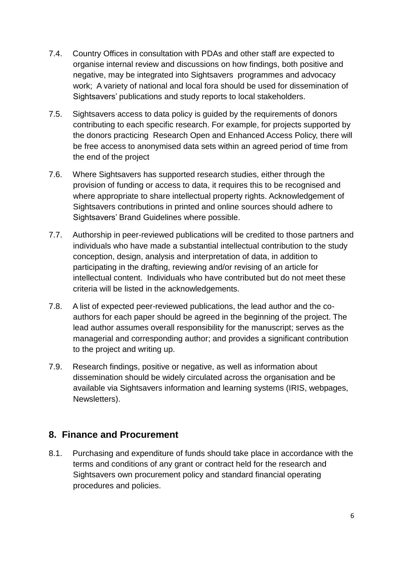- 7.4. Country Offices in consultation with PDAs and other staff are expected to organise internal review and discussions on how findings, both positive and negative, may be integrated into Sightsavers programmes and advocacy work; A variety of national and local fora should be used for dissemination of Sightsavers' publications and study reports to local stakeholders.
- 7.5. Sightsavers access to data policy is guided by the requirements of donors contributing to each specific research. For example, for projects supported by the donors practicing Research Open and Enhanced Access Policy, there will be free access to anonymised data sets within an agreed period of time from the end of the project
- 7.6. Where Sightsavers has supported research studies, either through the provision of funding or access to data, it requires this to be recognised and where appropriate to share intellectual property rights. Acknowledgement of Sightsavers contributions in printed and online sources should adhere to Sightsavers' Brand Guidelines where possible.
- 7.7. Authorship in peer-reviewed publications will be credited to those partners and individuals who have made a substantial intellectual contribution to the study conception, design, analysis and interpretation of data, in addition to participating in the drafting, reviewing and/or revising of an article for intellectual content. Individuals who have contributed but do not meet these criteria will be listed in the acknowledgements.
- 7.8. A list of expected peer-reviewed publications, the lead author and the coauthors for each paper should be agreed in the beginning of the project. The lead author assumes overall responsibility for the manuscript; serves as the managerial and corresponding author; and provides a significant contribution to the project and writing up.
- 7.9. Research findings, positive or negative, as well as information about dissemination should be widely circulated across the organisation and be available via Sightsavers information and learning systems (IRIS, webpages, Newsletters).

#### **8. Finance and Procurement**

8.1. Purchasing and expenditure of funds should take place in accordance with the terms and conditions of any grant or contract held for the research and Sightsavers own procurement policy and standard financial operating procedures and policies.